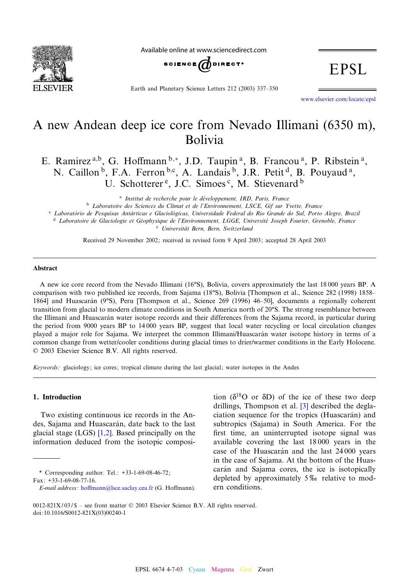<span id="page-0-0"></span>

Available online at www.sciencedirect.com



Earth and Planetary Science Letters 212 (2003) 337-350

**EPSL** 

www.elsevier.com/locate/epsl

# A new Andean deep ice core from Nevado Illimani (6350 m), Bolivia

E. Ramirez a,b, G. Hoffmann b,\*, J.D. Taupin <sup>a</sup>, B. Francou <sup>a</sup>, P. Ribstein <sup>a</sup>, N. Caillon<sup>b</sup>, F.A. Ferron<sup>b,c</sup>, A. Landais<sup>b</sup>, J.R. Petit<sup>d</sup>, B. Pouyaud<sup>a</sup>, U. Schotterer<sup>e</sup>, J.C. Simoes<sup>c</sup>, M. Stievenard<sup>b</sup>

<sup>a</sup> Institut de recherche pour le développement, IRD, Paris, France

<sup>b</sup> Laboratoire des Sciences du Climat et de l'Environnement, LSCE, Gif sur Yvette, France

<sup>c</sup> Laboratório de Pesquisas Antárticas e Glaciológicas, Universidade Federal do Rio Grande do Sul, Porto Alegre, Brazil

<sup>d</sup> Laboratoire de Glaciologie et Géophysique de l'Environnement, LGGE, Université Joseph Fourier, Grenoble, France e Universität Bern, Bern, Switzerland

Received 29 November 2002; received in revised form 9 April 2003; accepted 28 April 2003

#### Abstract

A new ice core record from the Nevado Illimani (16°S), Bolivia, covers approximately the last 18 000 years BP. A comparison with two published ice records, from Sajama (18°S), Bolivia [Thompson et al., Science 282 (1998) 1858– 1864] and Huascarán (9°S), Peru [Thompson et al., Science 269 (1996) 46-50], documents a regionally coherent transition from glacial to modern climate conditions in South America north of  $20^{\circ}$ S. The strong resemblance between the Illimani and Huascarán water isotope records and their differences from the Sajama record, in particular during the period from 9000 years BP to 14 000 years BP, suggest that local water recycling or local circulation changes played a major role for Sajama. We interpret the common Illimani/Huascarán water isotope history in terms of a common change from wetter/cooler conditions during glacial times to drier/warmer conditions in the Early Holocene.  $© 2003 Elsevier Science B.V. All rights reserved.$ 

Keywords: glaciology; ice cores; tropical climate during the last glacial; water isotopes in the Andes

## 1. Introduction

Two existing con[tinuo](#page-12-0)us ice records in the Andes, Sajama and Huascarán, date back to the last glacial stage (LGS) [1,2]. Based principally on the information deduced from the isotopic composi-

\* Correspondin[g author. Tel.: +33-1-69-08-](mailto:hoffmann@lsce.saclay.cea.fr)46-72; Fax: +33-1-69-08-77-16.

tion ( $\delta^{18}$ O or  $\delta$ D) of the [ice](#page-12-0) of these two deep drillings, Thompson et al. [3] described the deglaciation sequence for the tropics (Huascarán) and subtropics (Sajama) in South America. For the first time, an uninterrupted isotope signal was available covering the last 18 000 years in the case of the Huascarán and the last 24 000 years in the case of Sajama. At the bottom of the Huascarán and Sajama cores, the ice is isotopically depleted by approximately  $5\%$  relative to modern conditions.

0012-821X/03/\$ - see front matter  $\oslash$  2003 Elsevier Science B.V. All rights reserved. doi:10.1016/S0012-821X(03)00240-1

E-mail address: hoffmann@lsce.saclay.cea.fr (G. Hoffmann).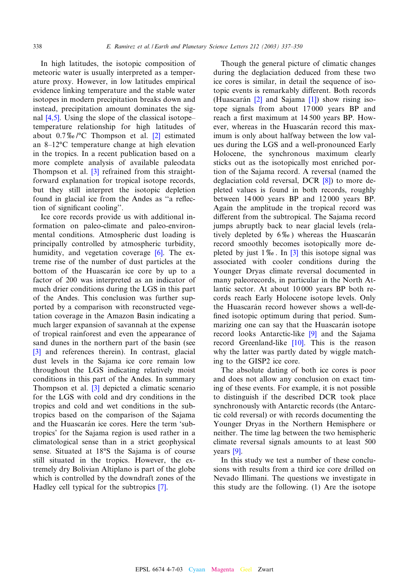In high latitudes, the isotopic composition of meteoric water is usually interpreted as a temperature proxy. However, in low latitudes empirical evidence linking temperature and the stable water isot[opes](#page-12-0) in modern precipitation breaks down and instead, precipitation amount dominates the signal  $[4,5]$ . Using the slope of the clas[sica](#page-12-0)l isotopetemperature relationship for high latitudes of about  $0.7\%$   $\degree$ C Thompson et al. [2] estimated an  $8-12$ <sup>o</sup>C temperature change at high elevation in the tropics. In [a r](#page-12-0)ecent publication based on a more complete analysis of available paleodata Thompson et al. [3] refrained from this straightforward explanation for tropical isotope records, but they still interpret the isotopic depletion found in glacial ice from the Andes as "a reflection of significant cooling".

Ice core records provide us with additional information on paleo-climate and paleo-environmental conditions. Atmospheric du[st l](#page-12-0)oading is principally controlled by atmospheric turbidity, humidity, and vegetation coverage [6]. The extreme rise of the number of dust particles at the bottom of the Huascarán ice core by up to a factor of 200 was interpreted as an indicator of much drier conditions during the LGS in this part of the Andes. This conclusion was further supported by a comparison with reconstructed vegetation coverage in the Amazon Basin indicating a much larger expansion of savannah at the expense [of](#page-12-0) tropical rainforest and even the appearance of sand dunes in the northern part of the basin (see [3] and references therein). In contrast, glacial dust levels in the Sajama ice core remain low throughout the [LG](#page-12-0)S indicating relatively moist conditions in this part of the Andes. In summary Thompson et al. [3] depicted a climatic scenario for the LGS with cold and dry conditions in the tropics and cold and wet conditions in the subtropics based on the comparison of the Sajama and the Huascarán ice cores. Here the term 'subtropics' for the Sajama region is used rather in a climatological sense than in a strict geophysical sense. Situated at 18°S the Sajama is of course still situated in the tropics. However, the extremely dry Bolivian Altiplano is part [of t](#page-12-0)he globe which is controlled by the downdraft zones of the Hadley cell typical for the subtropics [7].

Though the general picture of climatic changes during the deglaciation deduced from these two ice cores is [sim](#page-12-0)ilar, in detail [th](#page-12-0)e sequence of isotopic events is remarkably different. Both records (Huascarán  $[2]$  and Sajama  $[1]$ ) show rising isotope signals from about 17 000 years BP and reach a first maximum at 14 500 years BP. However, whereas in the Huascarán record this maximum is only about halfway between the low values during the LGS and a well-pronounced Early Holocene, the synchronous maximum clearly sticks out as the isotopically mo[st](#page-12-0) enriched portion of the Sajama record. A reversal (named the deglaciation cold reversal, DCR [8]) to more depleted values is found in both records, roughly between 14 000 years BP and 12 000 years BP. Again the amplitude in the tropical record was different from the subtropical. The Sajama record jumps abruptly back to near glacial levels (relatively depleted by  $6\%$ [\) w](#page-12-0)hereas the Huascarán record smoothly becomes isotopically more depleted by just  $1\%$ . In [3] this isotope signal was associated with cooler conditions during the Younger Dryas climate reversal documented in many paleorecords, in particular in the North Atlantic sector. At about 10 000 years BP both records reach Early Holocene isotope levels. Only the Huascarán record however shows a well-defined isotopic optimum duri[ng t](#page-12-0)hat period. Summarizing one can say t[hat t](#page-12-0)he Huascarán isotope record looks Antarctic-like [9] and the Sajama record Greenland-like [10]. This is the reason why the latter was partly dated by wiggle matching to the GISP2 ice core.

The absolute dating of both ice cores is poor and does not allow any conclusion on exact timing of these events. For example, it is not possible to distinguish if the described DCR took place synchronously with Antarctic records (the Antarctic cold reversal) or with records documenting the Younger Dryas in the Northern Hemisphere or neithe[r. T](#page-12-0)he time lag between the two hemispheric climate reversal signals amounts to at least 500 years [9].

In this study we test a number of these conclusions with results from a third ice core drilled on Nevado Illimani. The questions we investigate in this study are the following. (1) Are the isotope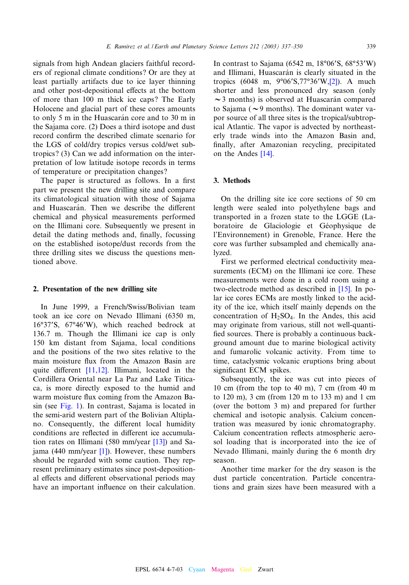signals from high Andean glaciers faithful recorders of regional climate conditions? Or are they at least partially artifacts due to ice layer thinning and other post-depositional effects at the bottom of more than 100 m thick ice caps? The Early Holocene and glacial part of these cores amounts to only 5 m in the Huascarán core and to 30 m in the Sajama core. (2) Does a third isotope and dust record confirm the described climate scenario for the LGS of cold/dry tropics versus cold/wet subtropics ? (3) Can we add information on the interpretation of low latitude isotope records in terms of temperature or precipitation changes ?

The paper is structured as follows. In a first part we present the new drilling site and compare its climatological situation with those of Sajama and Huascarán. Then we describe the different chemical and physical measurements performed on the Illimani core. Subsequently we present in detail the dating methods and, finally, focussing on the established isotope/dust records from the three drilling sites we discuss the questions mentioned above.

#### 2. Presentation of the new drilling site

In June 1999, a French/Swiss/Bolivian team took an ice core on Nevado Illimani (6350 m, 16°37'S, 67°46'W), which reached bedrock at 136.7 m. Though the Illimani ice cap is only 150 km distant from Sajama, local conditions and the positio[ns of th](#page-12-0)e two sites relative to the main moisture flux from the Amazon Basin are quite different  $[11, 12]$ . Illimani, located in the Cordillera Oriental near La Paz and Lake Titicaca, is [more d](#page-3-0)irectly exposed to the humid and warm moisture flux coming from the Amazon Basin (see Fig. 1). In contrast, Sajama is located in the semi-arid western part of the Bolivian Altiplano. Consequently, the different lo[cal](#page-12-0) humidity conditions are reflec[ted](#page-12-0) in different ice accumulation rates on Illimani (580 mm/year [13]) and Sajama (440 mm/year [1]). However, these numbers should be regarded with some caution. They represent preliminary estimates since post-depositional effects and different observational periods may have an important influence on their calculation.

In contrast to Sajama (6542 m,  $18°06'S$  $18°06'S$  $18°06'S$ ,  $68°53'W$ ) and Illimani, Huascarán is clearly situated in the tropics (6048 m,  $9^{\circ}06'S,77^{\circ}36'W,[2])$ . A much shorter and less pronounced dry season (only  $\sim$ 3 months) is observed at Huascarán compared to Sajama ( $\sim$ 9 months). The dominant water vapor source of all three sites is the tropical/subtropical Atlantic. The vapor is advected by northeasterly trade wi[nds](#page-12-0) into the Amazon Basin and, finally, after Amazonian recycling, precipitated on the Andes [14].

## 3. Methods

On the drilling site ice core sections of 50 cm length were sealed into polyethylene bags and transported in a frozen state to the LGGE (Laboratoire de Glaciologie et Géophysique de l'Environnement) in Grenoble, France. Here the core was further subsampled and chemically analyzed.

First we performed electrical conductivity measurements (ECM) on the Illimani ice [core](#page-12-0). These measurements were done in a cold room using a two-electrode method as described in [15]. In polar ice cores ECMs are mostly linked to the acidity of the ice, which itself mainly depends on the concentration of  $H_2SO_4$ . In the Andes, this acid may originate from various, still not well-quanti fied sources. There is probably a continuous background amount due to marine biological activity and fumarolic volcanic activity. From time to time, cataclysmic volcanic eruptions bring about significant ECM spikes.

Subsequently, the ice was cut into pieces of 10 cm (from the top to 40 m), 7 cm (from 40 m to 120 m), 3 cm (from 120 m to 133 m) and 1 cm (over the bottom 3 m) and prepared for further chemical and isotopic analysis. Calcium concentration was measured by ionic chromatography. Calcium concentration reflects atmospheric aerosol loading that is incorporated into the ice of Nevado Illimani, mainly during the 6 month dry season.

Another time marker for the dry season is the dust particle concentration. Particle concentrations and grain sizes have been measured with a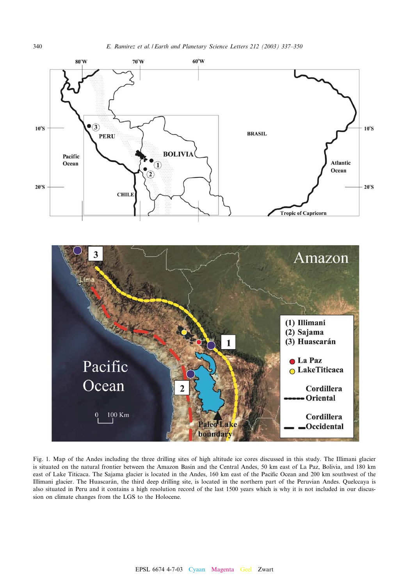



Fig. 1. Map of the Andes including the three drilling sites of high altitude ice cores discussed in this study. The Illimani glacier is situated on the natural frontier between the Amazon Basin and the Central Andes, 50 km east of La Paz, Bolivia, and 180 km east of Lake Titicaca. The Sajama glacier is located in the Andes, 160 km east of the Pacific Ocean and 200 km southwest of the Illimani glacier. The Huascarán, the third deep drilling site, is located in the northern part of the Peruvian Andes. Quelccaya is also situated in Peru and it contains a high resolution record of the last 1500 years which is why it is not included in our discussion on climate changes from the LGS to the Holocene.

<span id="page-3-0"></span>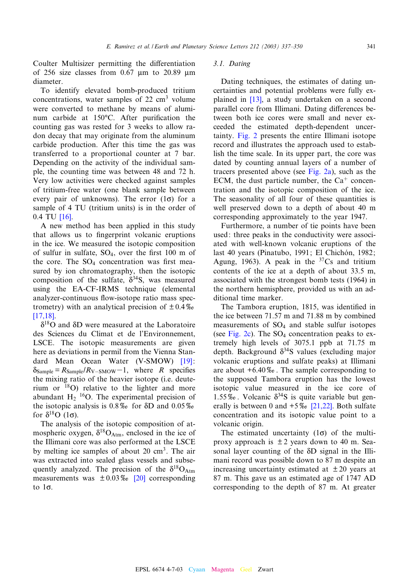Coulter Multisizer permitting the differentiation of 256 size classes from  $0.67 \mu m$  to 20.89  $\mu m$ diameter.

To identify elevated bomb-produced tritium concentrations, water samples of  $22 \text{ cm}^3$  volume were converted to methane by means of aluminum carbide at 150°C. After purification the counting gas was rested for 3 weeks to allow radon decay that may originate from the aluminum carbide production. After this time the gas was transferred to a proportional counter at 7 bar. Depending on the activity of the individual sample, the counting time was between 48 and 72 h. Very low activities were checked against samples of tritium-free water (one blank sample between every p[air o](#page-12-0)f unknowns). The error  $(1\sigma)$  for a sample of 4 TU (tritium units) is in the order of  $0.4$  TU [16].

A new method has been applied in this study that allows us to fingerprint volcanic eruptions in the ice. We measured the isotopic composition of sulfur in sulfate,  $SO_4$ , over the first 100 m of the core. The  $SO_4$  concentration was first measured by ion chromatography, then the isotopic composition of the sulfate,  $\delta^{34}S$ , was measured using the EA-CF-IRMS technique (elemental [analyze](#page-12-0)r-continuous flow-isotope ratio mass spectrometry) with an analytical precision of  $\pm 0.4\%$ [17,18].

 $\delta^{18}$ O and  $\delta$ D were measured at the Laboratoire des Sciences du Climat et de l'Environnement, LSCE. The isotopic measurements are [given](#page-12-0) here as deviations in permil from the Vienna Standard Mean Ocean Water (V-SMOW) [19]:  $\delta_{\text{Sample}} = R_{\text{Sample}}/R_{\text{V-SMOW}} - 1$ , where R specifies the mixing ratio of the heavier isotope (i.e. deuterium or 18O) relative to the lighter and more abundant  $H_2$  <sup>16</sup>O. The experimental precision of the isotopic analysis is  $0.8\%$  for  $\delta D$  and  $0.05\%$ for  $\delta^{18}$ O (1 $\sigma$ ).

The analysis of the isotopic composition of atmospheric oxygen,  $\delta^{18}O_{\text{Atm}}$ , enclosed in the ice of the Illimani core was also performed at the LSCE by melting ice samples of about 20  $\text{cm}^3$ . The air was extracted into sealed glass [ves](#page-12-0)sels and subsequently analyzed. The precision of the  $\delta^{18}O_{\text{Atm}}$ measurements was  $\pm 0.03\%$  [20] corresponding to  $1\sigma$ .

# 3.1. Dating

Dating t[echn](#page-12-0)iques, the estimates of dating uncertainties and potential problems were fully explained in [13], a study undertaken on a second parallel core from Illimani. Dating differences between [both i](#page-6-0)ce cores were small and never exceeded the estimated depth-dependent uncertainty. Fig. 2 presents the entire Illimani isotope record and illustrates the approach used to establish the time scale. In its up[per part,](#page-6-0) the core was dated by counting annual layers of a number of tracers presented above (see Fig.  $2a$ ), such as the ECM, the dust particle number, the  $Ca^+$  concentration and the isotopic composition of the ice. The seasonality of all four of these quantities is well preserved down to a depth of about 40 m corresponding approximately to the year 1947.

Furthermore, a number of tie points have been used: three peaks in the conductivity were associated with well-known volcanic eruptions of the last 40 years (Pinatubo, 1991; El Chichón, 1982; Agung, 1963). A peak in the  $37Cs$  and tritium contents of the ice at a depth of about 33.5 m, associated with the strongest bomb tests (1964) in the northern hemisphere, provided us with an additional time marker.

The Tambora eruption, 1815, was identified in the i[ce betw](#page-6-0)een 71.57 m and 71.88 m by combined measurements of SO4 and stable sulfur isotopes (see Fig. 2c). The  $SO_4$  concentration peaks to extremely high levels of 3075.1 ppb at 71.75 m depth. Background  $\delta^{34}$ S values (excluding major volcanic eruptions and sulfate peaks) at Illimani are about  $+6.40\%$ . The sample corresponding to the supposed Tambora eruption has the lowest isotopic value measured i[n the](#page-12-0) ice core of 1.55%. Volcanic  $\delta^{34}S$  is quite variable but generally is between 0 and  $+5\%$  [21,22]. Both sulfate concentration and its isotopic value point to a volcanic origin.

The estimated uncertainty  $(1\sigma)$  of the multiproxy approach is  $\pm 2$  years down to 40 m. Seasonal layer counting of the  $\delta D$  signal in the Illimani record was possible down to 87 m despite an increasing uncertainty estimated at  $\pm 20$  years at 87 m. This gave us an estimated age of 1747 AD corresponding to the depth of 87 m. At greater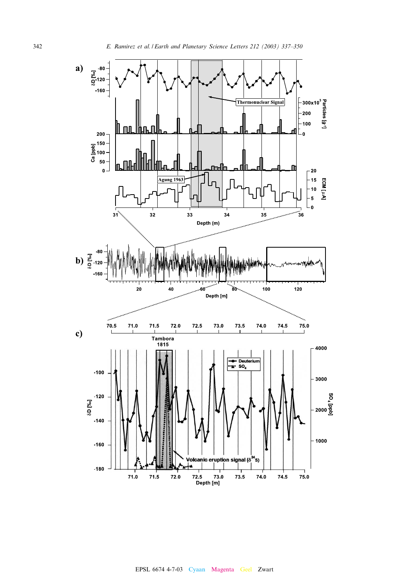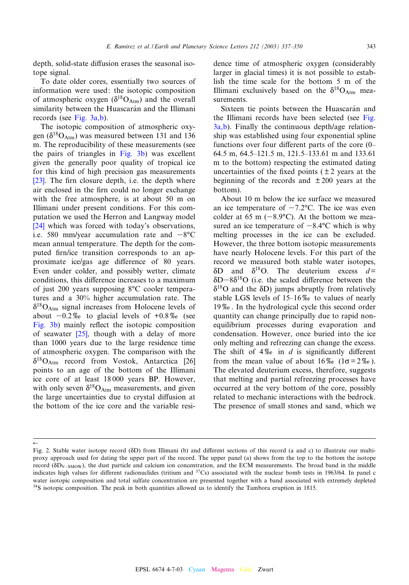<span id="page-6-0"></span>depth, solid-state diffusion erases the seasonal isotope signal.

To date older cores, essentially two sources of information were used: the isotopic composition of atmosphe[ric oxyge](#page-7-0)n  $(\delta^{18}O_{\text{Atm}})$  and the overall similarity between the Huascarán and the Illimani records (see Fig. 3a,b).

The isotopic composition of atmospheric oxygen ( $\delta^{18}O_{\text{Atm}}$ ) was measur[ed betwe](#page-7-0)en 131 and 136 m. The reproducibility of these measurements (see the pairs of triangles in Fig. 3b) was excellent [give](#page-12-0)n the generally poor quality of tropical ice for this kind of high precision gas measurements [23]. The firn closure depth, i.e. the depth where air enclosed in the firn could no longer exchange with the free atmosphere, is at about 50 m on [Illim](#page-12-0)ani under present conditions. For this computation we used the Herron and Langway model [24] which was forced with today's observations, i.e. 580 mm/year accumulation rate and  $-8^{\circ}$ C mean annual temperature. The depth for the computed firm/ice transition corresponds to an approximate ice/gas age difference of 80 years. Even under colder, and possibly wetter, climate conditions, this difference increases to a maximum of just 200 years supposing 8°C cooler temperatures and a 30% higher accumulation rate. The  $\delta^{18}O_{\text{Atm}}$  signal increases from Holocene levels of about  $-0.2\%$  to glacial levels of  $+0.8\%$  (see Fig. 3b) mainly reflect the isotopic composition of seawater  $[25]$ , though with a delay of more than 1000 years due to the large residence t[ime](#page-12-0) of atmospheric oxygen. The comparison with the  $\delta^{18}O_{\text{Atm}}$  record from Vostok, Antarctica [26] points to an age of the bottom of the Illimani ice core of at least 18 000 years BP. However, with only seven  $\delta^{18}O_{\text{Atm}}$  measurements, and given the large uncertainties due to crystal diffusion at the bottom of the ice core and the variable resi-

 $\leftarrow$ 

dence time of atmospheric oxygen (considerably larger in glacial times) it is not possible to establish the time scale for the bottom 5 m of the Illimani exclusively based on the  $\delta^{18}O_{\text{Atm}}$  measurements.

[Si](#page-7-0)xteen tie points between the Huascarán [and](#page-7-0) the Illimani records have been selected (see Fig. 3a,b). Finally the continuous depth/age relationship was established using four exponential spline functions over four different parts of the core  $(0-$ 64.5 m, 64.5^121.5 m, 121.5^133.61 m and 133.61 m to the bottom) respecting the estimated dating uncertainties of the fixed points ( $\pm 2$  years at the beginning of the records and  $\pm 200$  years at the bottom).

About 10 m below the ice surface we measured an ice temperature of  $-7.2$ <sup>o</sup>C. The ice was even colder at 65 m  $(-8.9^{\circ}C)$ . At the bottom we measured an ice temperature of  $-8.4\degree$ C which is why melting processes in the ice can be excluded. However, the three bottom isotopic measurements have nearly Holocene levels. For this part of the record we measured both stable water isotopes,  $\delta D$  and  $\delta^{18}O$ . The deuterium excess  $d =$  $\delta D - 8\delta^{18}O$  (i.e. the scaled difference between the  $\delta^{18}$ O and the  $\delta$ D) jumps abruptly from relatively stable LGS levels of  $15-16\%$  to values of nearly 19x. In the hydrological cycle this second order quantity can change principally due to rapid nonequilibrium processes during evaporation and condensation. However, once buried into the ice only melting and refreezing can change the excess. The shift of  $4\%$  in d is significantly different from the mean value of about  $16\%$  ( $1\sigma = 2\%$ ). The elevated deuterium excess, therefore, suggests that melting and partial refreezing processes have occurred at the very bottom of the core, possibly related to mechanic interactions with the bedrock. The presence of small stones and sand, which we

Fig. 2. Stable water isotope record ( $\delta D$ ) from Illimani (b) and different sections of this record (a and c) to illustrate our multiproxy approach used for dating the upper part of the record. The upper panel (a) shows from the top to the bottom the isotope record ( $\delta D_{V-SMOW}$ ), the dust particle and calcium ion concentration, and the ECM measurements. The broad band in the middle indicates high values for different radionuclides (tritium and  $37Cs$ ) associated with the nuclear bomb tests in 1963/64. In panel c water isotopic composition and total sulfate concentration are presented together with a band associated with extremely depleted 34S isotopic composition. The peak in both quantities allowed us to identify the Tambora eruption in 1815.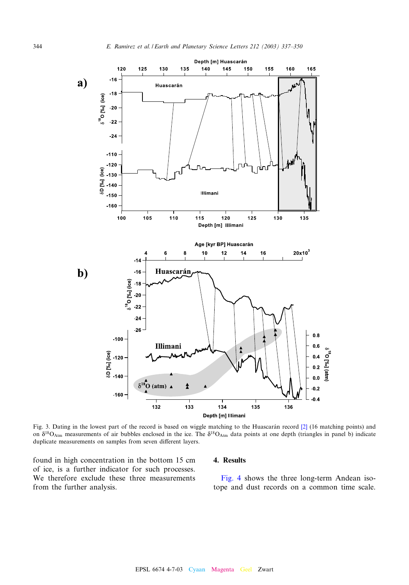<span id="page-7-0"></span>![](_page_7_Figure_1.jpeg)

Fig. 3. Dating in the lowest part of the record is based on wiggle matching to the Huascarán record [2] (16 matching points) and on  $\delta^{18}O_{\text{Atm}}$  measurements of air bubbles enclosed in the ice. The  $\delta^{18}O_{\text{Atm}}$  data points at one depth (triangles in panel b) indicate duplicate measurements on samples from seven different layers.

found in high concentration in the bottom 15 cm of ice, is a further indicator for such processes. We therefore exclude these three measurements from the further analysis.

#### 4. [Result](#page-8-0)s

Fig. 4 shows the three long-term Andean isotope and dust records on a common time scale.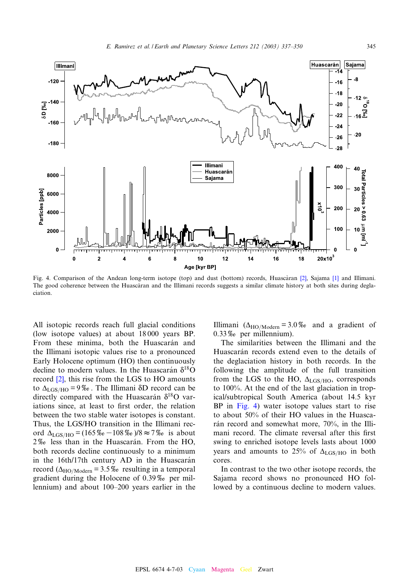<span id="page-8-0"></span>![](_page_8_Figure_1.jpeg)

Fig. 4. Comparison of the Andean long-term isotope (top) and dust (bottom) records, Huascàran [2], Sajama [1] and Illimani. The good coherence between the Huascaran and the Illimani records suggests a similar climate history at both sites during deglaciation.

All isotopic records reach full glacial conditions (low isotope values) at about 18 000 years BP. From these minima, both the Huascarán and the Illimani isotopic values rise to a pronounced Early [Hol](#page-12-0)ocene optimum (HO) then continuously decline to modern values. In the Huascarán  $\delta^{18}O$ record [2], this rise from the LGS to HO amounts to  $\Delta_{\text{LGS/HO}} = 9\%$ . The Illimani  $\delta$ D record can be directly compared with the Huascarán  $\delta^{18}$ O variations since, at least to first order, the relation between the two stable water isotopes is constant. Thus, the LGS/HO transition in the Illimani record  $\Delta_{\text{LGS/HO}} = (165\% \text{ s} - 108\% \text{ s})/8 \approx 7\% \text{ s}$  is about 2\% less than in the Huascarán. From the HO, both records decline continuously to a minimum in the 16th/17th century AD in the Huascarán record ( $\Delta_{\text{HO/Moden}}$  = 3.5% resulting in a temporal gradient during the Holocene of  $0.39\%$  per millennium) and about 100^200 years earlier in the Illimani ( $\Delta_{\text{HO/Moden}} = 3.0\%$  and a gradient of  $0.33\%$  per millennium).

The similarities between the Illimani and the Huascarán records extend even to the details of the deglaciation history in both records. In the following the amplitude of the full transition from the LGS to the HO,  $\Delta_{\text{LGS/HO}}$ , corresponds to 100%. At the end of the last glaciation in tropical/subtropical South America (about 14.5 kyr BP in Fig. 4) water isotope values start to rise to about 50% of their HO values in the Huascarán record and somewhat more, 70%, in the Illimani record. The climate reversal after this first swing to enriched isotope levels lasts about 1000 years and amounts to 25% of  $\Delta_{\rm LGS/HO}$  in both cores.

In contrast to the two other isotope records, the Sajama record shows no pronounced HO followed by a continuous decline to modern values.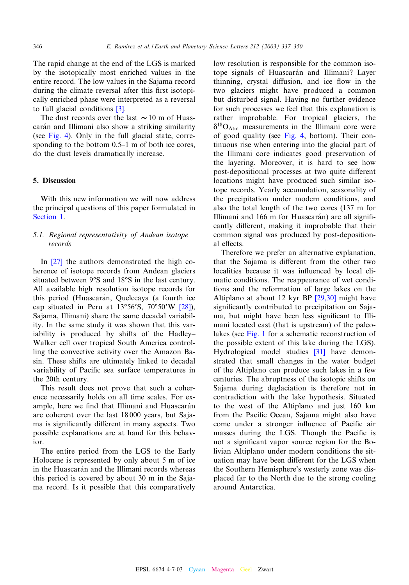The rapid change at the end of the LGS is marked by the isotopically most enriched values in the entire record. The low values in the Sajama record during the climate revers[al a](#page-12-0)fter this first isotopically enriched phase were interpreted as a reversal to full glacial conditions [3].

T[he dust](#page-8-0) records over the last  $\sim$  10 m of Huascarán and Illimani also show a striking similarity (see Fig. 4). Only in the full glacial state, corresponding to the bottom  $0.5-1$  m of both ice cores, do the dust levels dramatically increase.

## 5. Discussion

[With th](#page-0-0)is new information we will now address the principal questions of this paper formulated in Section 1.

# 5.1. Regional representativity of Andean isotope [recor](#page-12-0)ds

In [27] the authors demonstrated the high coherence of isotope records from Andean glaciers situated between 9°S and 18°S in the last century. All available high resolution isotope recor[ds fo](#page-13-0)r this period (Huascarán, Quelccaya (a fourth ice cap situated in Peru at  $13°56'S$ ,  $70°50'W$  [28]), Sajama, Illimani) share the same decadal variability. In the same study it was shown that this variability is produced by shifts of the Hadley-Walker cell over tropical South America controlling the convective activity over the Amazon Basin. These shifts are ultimately linked to decadal variability of Pacific sea surface temperatures in the 20th century.

This result does not prove that such a coherence necessarily holds on all time scales. For example, here we find that Illimani and Huascarán are coherent over the last 18 000 years, but Sajama is significantly different in many aspects. Two possible explanations are at hand for this behavior.

The entire period from the LGS to the Early Holocene is represented by only about 5 m of ice in the Huascarán and the Illimani records whereas this period is covered by about 30 m in the Sajama record. Is it possible that this comparatively low resolution is responsible for the common isotope signals of Huascarán and Illimani? Layer thinning, crystal diffusion, and ice flow in the two glaciers might have produced a common but disturbed signal. Having no further evidence for such processes we feel that this explanation is rather improbable. [For t](#page-8-0)ropical glaciers, the  $\delta^{18}O_{\text{Atm}}$  measurements in the Illimani core were of good quality (see Fig. 4, bottom). Their continuous rise when entering into the glacial part of the Illimani core indicates good preservation of the layering. Moreover, it is hard to see how post-depositional processes at two quite different locations might have produced such similar isotope records. Yearly accumulation, seasonality of the precipitation under modern conditions, and also the total length of the two cores (137 m for Illimani and 166 m for Huascarán) are all significantly different, making it improbable that their common signal was produced by post-depositional effects.

Therefore we prefer an alternative explanation, that the Sajama is different from the other two localities because it was influenced by local climatic conditions. The reappea[rance o](#page-13-0)f wet conditions and the reformation of large lakes on the Altiplano at about 12 kyr BP [29,30] might have significantly contributed to precipitation on Sajama, but [might](#page-3-0) have been less significant to Illimani located east (that is upstream) of the paleolakes (see Fig. 1 for a schemat[ic re](#page-13-0)construction of the possible extent of this lake during the LGS). Hydrological model studies [31] have demonstrated that small changes in the water budget of the Altiplano can produce such lakes in a few centuries. The abruptness of the isotopic shifts on Sajama during deglaciation is therefore not in contradiction with the lake hypothesis. Situated to the west of the Altiplano and just 160 km from the Pacific Ocean, Sajama might also have come under a stronger influence of Pacific air masses during the LGS. Though the Pacific is not a significant vapor source region for the Bolivian Altiplano under modern conditions the situation may have been different for the LGS when the Southern Hemisphere's westerly zone was displaced far to the North due to the strong cooling around Antarctica.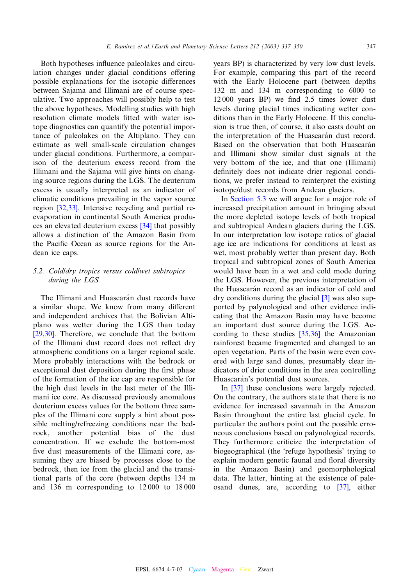Both hypotheses influence paleolakes and circulation changes under glacial conditions offering possible explanations for the isotopic differences between Sajama and Illimani are of course speculative. Two approaches will possibly help to test the above hypotheses. Modelling studies with high resolution climate models fitted with water isotope diagnostics can quantify the potential importance of paleolakes on the Altiplano. They can estimate as well small-scale circulation changes under glacial conditions. Furthermore, a comparison of the deuterium excess record from the Illimani and the Sajama will give hints on changing source regions during the LGS. The deuterium excess [is usua](#page-13-0)lly interpreted as an indicator of climatic conditions prevailing in the vapor source region [32,33]. Intensive recycli[ng an](#page-13-0)d partial reevaporation in continental South America produces an elevated deuterium excess [34] that possibly allows a distinction of the Amazon Basin from the Pacific Ocean as source regions for the Andean ice caps.

# 5.2. Cold/dry tropics versus cold/wet subtropics during the LGS

The Illimani and Huascarán dust records have a similar shape. We know from many different [and in](#page-13-0)dependent archives that the Bolivian Altiplano was wetter during the LGS than today [29,30]. Therefore, we conclude that the bottom of the Illimani dust record does not reflect dry atmospheric conditions on a larger regional scale. More probably interactions with the bedrock or exceptional dust deposition during the first phase of the formation of the ice cap are responsible for the high dust levels in the last meter of the Illimani ice core. As discussed previously anomalous deuterium excess values for the bottom three samples of the Illimani core supply a hint about possible melting/refreezing conditions near the bedrock, another potential bias of the dust concentration. If we exclude the bottom-most five dust measurements of the Illimani core, assuming they are biased by processes close to the bedrock, then ice from the glacial and the transitional parts of the core (between depths 134 m and 136 m corresponding to 12 000 to 18 000

years BP) is characterized by very low dust levels. For example, comparing this part of the record with the Early Holocene part (between depths 132 m and 134 m corresponding to 6000 to 12000 years BP) we find 2.5 times lower dust levels during glacial times indicating wetter conditions than in the Early Holocene. If this conclusion is true then, of course, it also casts doubt on the interpretation of the Huascarán dust record. Based on the observation that both Huascarán and Illimani show similar dust signals at the very bottom of the ice, and that one (Illimani) definitely does not indicate drier regional conditions[, we prefer](#page-11-0) instead to reinterpret the existing isotope/dust records from Andean glaciers.

In Section 5.3 we will argue for a major role of increased precipitation amount in bringing about the more depleted isotope levels of both tropical and subtropical Andean glaciers during the LGS. In our interpretation low isotope ratios of glacial age ice are indications for conditions at least as wet, most probably wetter than present day. Both tropical and subtropical zones of South America would have been in a wet and cold mode during the LGS. However, the previous [int](#page-12-0)erpretation of the Huascarán record as an indicator of cold and dry conditions during the glacial [3] was also supported by palynological and other evidence indicating that the Amazon [Basin m](#page-13-0)ay have become an important dust source during the LGS. According to these studies [35,36] the Amazonian rainforest became fragmented and changed to an open vegetation. Parts of the basin were even covered with large sand dunes, presumably clear indicat[ors o](#page-13-0)f drier conditions in the area controlling Huascarán's potential dust sources.

In [37] these conclusions were largely rejected. On the contrary, the authors state that there is no evidence for increased savannah in the Amazon Basin throughout the entire last glacial cycle. In particular the authors point out the possible erroneous conclusions based on palynological records. They furthermore criticize the interpretation of biogeographical (the 'refuge hypothesis' trying to explain modern genetic faunal and floral diversity in the Amazon Basin) and geom[orph](#page-13-0)ological data. The latter, hinting at the existence of paleosand dunes, are, according to [37], either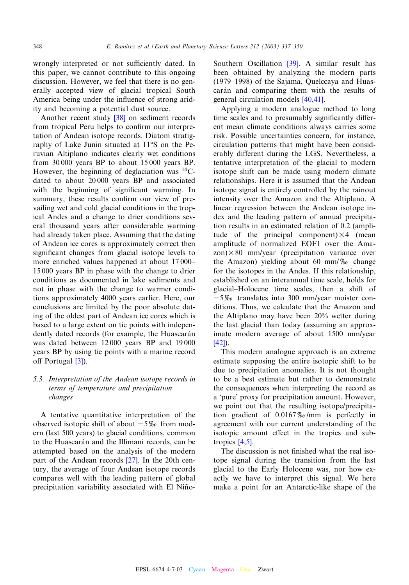<span id="page-11-0"></span>wrongly interpreted or not sufficiently dated. In this paper, we cannot contribute to this ongoing discussion. However, we feel that there is no generally accepted view of glacial tropical South America being under the influence of strong aridity and becoming a potential dust source.

Another recent study [38] on sediment records from tropical Peru helps to confirm our interpretation of Andean isotope records. Diatom stratigraphy of Lake Junin situated at 11°S on the Peruvian Altiplano indicates clearly wet conditions from 30 000 years BP to about 15 000 years BP. However, the beginning of deglaciation was  $^{14}$ Cdated to about 20 000 years BP and associated with the beginning of significant warming. In summary, these results confirm our view of prevailing wet and cold glacial conditions in the tropical Andes and a change to drier conditions several thousand years after considerable warming had already taken place. Assuming that the dating of Andean ice cores is approximately correct then significant changes from glacial isotope levels to more enriched values happened at about 17000– 15 000 years BP in phase with the change to drier conditions as documented in lake sediments and not in phase with the change to warmer conditions approximately 4000 years earlier. Here, our conclusions are limited by the poor absolute dating of the oldest part of Andean ice cores which is based to a large extent on tie points with independently dated records (for example, the Huascarán was dated b[etw](#page-12-0)een 12 000 years BP and 19 000 years BP by using tie points with a marine record off Portugal  $[3]$ ).

# 5.3. Interpretation of the Andean isotope records in terms of temperature and precipitation changes

A tentative quantitative interpretation of the observed isotopic shift of about  $-5\%$  from modern (last 500 years) to glacial conditions, common to the Huascarán and the Ill[ima](#page-12-0)ni records, can be attempted based on the analysis of the modern part of the Andean records [27]. In the 20th century, the average of four Andean isotope records compares well with the leading pattern of global precipitation variability associated with El NiñoSouthern Oscillation [39]. A similar result has been obtained by analyzing the modern parts  $(1979-1998)$  of the Sajama[, Quelc](#page-13-0)caya and Huascarán and comparing them with the results of general circulation models [40,41].

Applying a modern analogue method to long time scales and to presumably significantly different mean climate conditions always carries some risk. Possible uncertainties concern, for instance, circulation patterns that might have been considerably different during the LGS. Nevertheless, a tentative interpretation of the glacial to modern isotope shift can be made using modern climate relationships. Here it is assumed that the Andean isotope signal is entirely controlled by the rainout intensity over the Amazon and the Altiplano. A linear regression between the Andean isotope index and the leading pattern of annual precipitation results in an estimated relation of 0.2 (amplitude of the principal component) $\times$ 4 (mean amplitude of normalized EOF1 over the Ama $z$ on) $\times$ 80 mm/year (precipitation variance over the Amazon) yielding about 60 mm/ $\%$  change for the isotopes in the Andes. If this relationship, established on an interannual time scale, holds for glacial^Holocene time scales, then a shift of  $-5\%$  translates into 300 mm/year moister conditions. Thus, we calculate that the Amazon and the Altiplano may have been 20% wetter during [the](#page-13-0) last glacial than today (assuming an approximate modern average of about 1500 mm/year [42]).

This modern analogue approach is an extreme estimate supposing the entire isotopic shift to be due to precipitation anomalies. It is not thought to be a best estimate but rather to demonstrate the consequences when interpreting the record as a 'pure' proxy for precipitation amount. However, we point out that the resulting isotope/precipitation gradient of  $0.0167\%$ /mm is perfectly in agreem[ent w](#page-12-0)ith our current understanding of the isotopic amount effect in the tropics and subtropics [4,5].

The discussion is not finished what the real isotope signal during the transition from the last glacial to the Early Holocene was, nor how exactly we have to interpret this signal. We here make a point for an Antarctic-like shape of the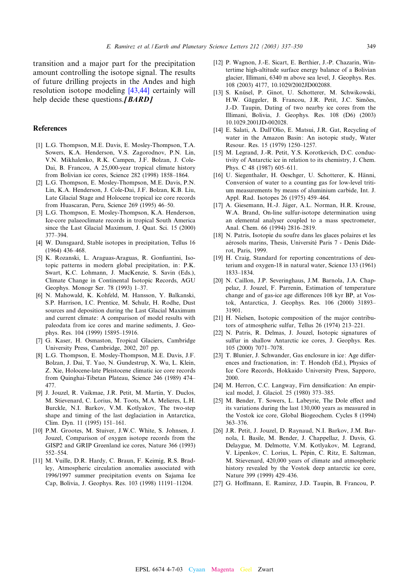<span id="page-12-0"></span>transition and a major part for the precipitation amount controlling the isoto[pe signa](#page-13-0)l. The results of future drilling projects in the Andes and high resolution isotope modeling [43,44] certainly will help decide these questions. $JBARDJ$ 

# **References**

- [1] L.G. Thompson, M.E. Davis, E. Mosley-Thompson, T.A. Sowers, K.A. Henderson, V.S. Zagorodnov, P.N. Lin, V.N. Mikhalenko, R.K. Campen, J.F. Bolzan, J. Cole-Dai, B. Francou, A 25,000-year tropical climate history from Bolivian ice cores, Science 282 (1998) 1858^1864.
- [2] L.G. Thompson, E. Mosley-Thompson, M.E. Davis, P.N. Lin, K.A. Henderson, J. Cole-Dai, J.F. Bolzan, K.B. Liu, Late Glacial Stage and Holocene tropical ice core records from Huascaran, Peru, Science 269 (1995) 46^50.
- [3] L.G. Thompson, E. Mosley-Thompson, K.A. Henderson, Ice-core palaeoclimate records in tropical South America since the Last Glacial Maximum, J. Quat. Sci. 15 (2000) 377^394.
- [4] W. Dansgaard, Stable isotopes in precipitation, Tellus 16  $(1964)$  436-468.
- [5] K. Rozanski, L. Araguas-Araguas, R. Gonfiantini, Isotopic patterns in modern global precipitation, in: P.K. Swart, K.C. Lohmann, J. MacKenzie, S. Savin (Eds.), Climate Change in Continental Isotopic Records, AGU Geophys. Monogr Ser. 78 (1993) 1-37.
- [6] N. Mahowald, K. Kohfeld, M. Hansson, Y. Balkanski, S.P. Harrison, I.C. Prentice, M. Schulz, H. Rodhe, Dust sources and deposition during the Last Glacial Maximum and current climate: A comparison of model results with paleodata from ice cores and marine sediments, J. Geophys. Res. 104 (1999) 15895-15916.
- [7] G. Kaser, H. Osmaston, Tropical Glaciers, Cambridge University Press, Cambridge, 2002, 207 pp.
- [8] L.G. Thompson, E. Mosley-Thompson, M.E. Davis, J.F. Bolzan, J. Dai, T. Yao, N. Gundestrup, X. Wu, L. Klein, Z. Xie, Holocene-late Pleistocene climatic ice core records from Quinghai-Tibetan Plateau, Science 246 (1989) 474^ 477.
- [9] J. Jouzel, R. Vaikmae, J.R. Petit, M. Martin, Y. Duclos, M. Stievenard, C. Lorius, M. Toots, M.A. Melieres, L.H. Burckle, N.I. Barkov, V.M. Kotlyakov, The two-step shape and timing of the last deglaciation in Antarctica, Clim. Dyn. 11 (1995) 151^161.
- [10] P.M. Grootes, M. Stuiver, J.W.C. White, S. Johnsen, J. Jouzel, Comparison of oxygen isotope records from the GISP2 and GRIP Greenland ice cores, Nature 366 (1993) 552^554.
- [11] M. Vuille, D.R. Hardy, C. Braun, F. Keimig, R.S. Bradley, Atmospheric circulation anomalies associated with 1996/1997 summer precipitation events on Sajama Ice Cap, Bolivia, J. Geophys. Res. 103 (1998) 11191^11204.
- [12] P. Wagnon, J.-E. Sicart, E. Berthier, J.-P. Chazarin, Wintertime high-altitude surface energy balance of a Bolivian glacier, Illimani, 6340 m above sea level, J. Geophys. Res. 108 (2003) 4177, 10.1029/2002JD002088.
- [13] S. Knüsel, P. Ginot, U. Schotterer, M. Schwikowski, H.W. Gäggeler, B. Francou, J.R. Petit, J.C. Simões, J.-D. Taupin, Dating of two nearby ice cores from the Illimani, Bolivia, J. Geophys. Res. 108 (D6) (2003) 10.1029.2001JD-002028.
- [14] E. Salati, A. Dall'Olio, E. Matsui, J.R. Gat, Recycling of water in the Amazon Basin: An isotopic study, Water Resour. Res. 15 (1979) 1250^1257.
- [15] M. Legrand, J.-R. Petit, Y.S. Korotkevich, D.C. conductivity of Antarctic ice in relation to its chemistry, J. Chem. Phys. C 48 (1987) 605-611.
- [16] U. Siegenthaler, H. Oeschger, U. Schotterer, K. Hänni, Conversion of water to a counting gas for low-level tritium measurements by means of aluminium carbide, Int. J. Appl. Rad. Isotopes 26 (1975) 459^464.
- [17] A. Giesemann, H.-J. Jäger, A.L. Norman, H.R. Krouse, W.A. Brand, On-line sulfur-isotope determination using an elemental analyser coupled to a mass spectrometer, Anal. Chem. 66 (1994) 2816-2819.
- [18] N. Patris, Isotopie du soufre dans les glaces polaires et les aérosols marins, Thesis, Université Paris 7 - Denis Diderot, Paris, 1999.
- [19] H. Craig, Standard for reporting concentrations of deuterium and oxygen-18 in natural water, Science 133 (1961) 1833^1834.
- [20] N. Caillon, J.P. Severinghaus, J.M. Barnola, J.A. Chappelaz, J. Jouzel, F. Parrenin, Estimation of temperature change and of gas-ice age differences 108 kyr BP, at Vostok, Antarctica, J. Geophys. Res. 106 (2000) 31893^ 31901.
- [21] H. Nielsen, Isotopic composition of the major contributors of atmospheric sulfur, Tellus 26 (1974) 213^221.
- [22] N. Patris, R. Delmas, J. Jouzel, Isotopic signatures of sulfur in shallow Antarctic ice cores, J. Geophys. Res. 105 (2000) 7071^7078.
- [23] T. Blunier, J. Schwander, Gas enclosure in ice: Age differences and fractionation, in: T. Hondoh (Ed.), Physics of Ice Core Records, Hokkaido University Press, Sapporo, 2000.
- [24] M. Herron, C.C. Langway, Firn densification: An empirical model, J. Glaciol. 25 (1980) 373^385.
- [25] M. Bender, T. Sowers, L. Labeyrie, The Dole effect and its variations during the last 130,000 years as measured in the Vostok ice core, Global Biogeochem. Cycles 8 (1994) 363^376.
- [26] J.R. Petit, J. Jouzel, D. Raynaud, N.I. Barkov, J.M. Barnola, I. Basile, M. Bender, J. Chappellaz, J. Davis, G. Delaygue, M. Delmotte, V.M. Kotlyakov, M. Legrand, V. Lipenkov, C. Lorius, L. Pépin, C. Ritz, E. Saltzman, M. Stievenard, 420,000 years of climate and atmospheric history revealed by the Vostok deep antarctic ice core, Nature 399 (1999) 429-436.
- [27] G. Hoffmann, E. Ramirez, J.D. Taupin, B. Francou, P.